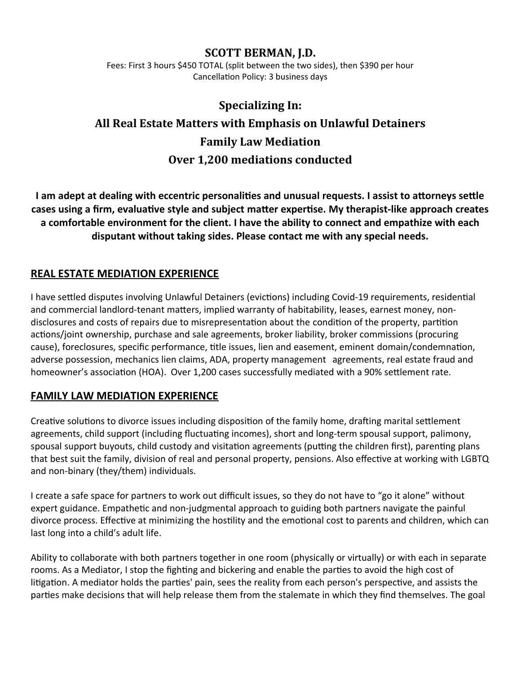## **SCOTT BERMAN, J.D.**

Fees: First 3 hours \$450 TOTAL (split between the two sides), then \$390 per hour Cancellation Policy: 3 business days

# **Specializing In: All Real Estate Matters with Emphasis on Unlawful Detainers Family Law Mediation Over 1,200 mediations conducted**

**I am adept at dealing with eccentric personalities and unusual requests. I assist to attorneys settle cases using a firm, evaluative style and subject matter expertise. My therapist-like approach creates a comfortable environment for the client. I have the ability to connect and empathize with each disputant without taking sides. Please contact me with any special needs.**

## **REAL ESTATE MEDIATION EXPERIENCE**

I have settled disputes involving Unlawful Detainers (evictions) including Covid-19 requirements, residential and commercial landlord-tenant matters, implied warranty of habitability, leases, earnest money, nondisclosures and costs of repairs due to misrepresentation about the condition of the property, partition actions/joint ownership, purchase and sale agreements, broker liability, broker commissions (procuring cause), foreclosures, specific performance, title issues, lien and easement, eminent domain/condemnation, adverse possession, mechanics lien claims, ADA, property management agreements, real estate fraud and homeowner's association (HOA). Over 1,200 cases successfully mediated with a 90% settlement rate.

## **FAMILY LAW MEDIATION EXPERIENCE**

Creative solutions to divorce issues including disposition of the family home, drafting marital settlement agreements, child support (including fluctuating incomes), short and long-term spousal support, palimony, spousal support buyouts, child custody and visitation agreements (putting the children first), parenting plans that best suit the family, division of real and personal property, pensions. Also effective at working with LGBTQ and non-binary (they/them) individuals.

I create a safe space for partners to work out difficult issues, so they do not have to "go it alone" without expert guidance. Empathetic and non-judgmental approach to guiding both partners navigate the painful divorce process. Effective at minimizing the hostility and the emotional cost to parents and children, which can last long into a child's adult life.

Ability to collaborate with both partners together in one room (physically or virtually) or with each in separate rooms. As a Mediator, I stop the fighting and bickering and enable the parties to avoid the high cost of litigation. A mediator holds the parties' pain, sees the reality from each person's perspective, and assists the parties make decisions that will help release them from the stalemate in which they find themselves. The goal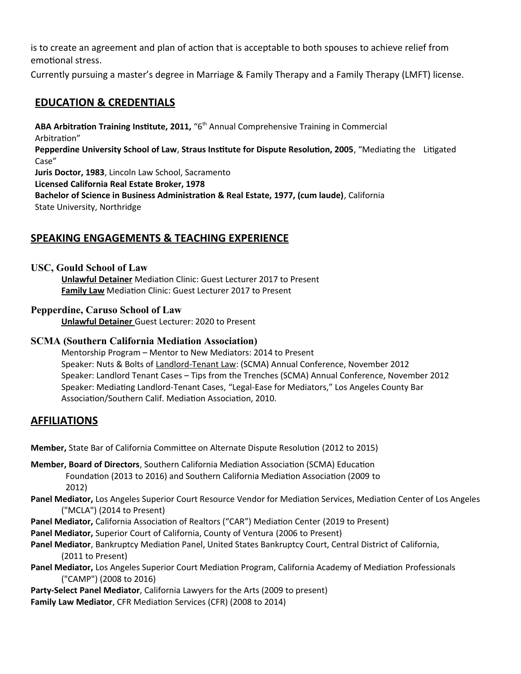is to create an agreement and plan of action that is acceptable to both spouses to achieve relief from emotional stress.

Currently pursuing a master's degree in Marriage & Family Therapy and a Family Therapy (LMFT) license.

## **EDUCATION & CREDENTIALS**

**ABA Arbitration Training Institute, 2011,** "6th Annual Comprehensive Training in Commercial Arbitration" **Pepperdine University School of Law**, **Straus Institute for Dispute Resolution, 2005**, "Mediating the Litigated Case" **Juris Doctor, 1983**, Lincoln Law School, Sacramento **Licensed California Real Estate Broker, 1978 Bachelor of Science in Business Administration & Real Estate, 1977, (cum laude)**, California State University, Northridge

## **SPEAKING ENGAGEMENTS & TEACHING EXPERIENCE**

#### **USC, Gould School of Law**

**Unlawful Detainer** Mediation Clinic: Guest Lecturer 2017 to Present **Family Law** Mediation Clinic: Guest Lecturer 2017 to Present

#### **Pepperdine, Caruso School of Law**

 **Unlawful Detainer** Guest Lecturer: 2020 to Present

#### **SCMA (Southern California Mediation Association)**

Mentorship Program – Mentor to New Mediators: 2014 to Present Speaker: Nuts & Bolts of Landlord-Tenant Law: (SCMA) Annual Conference, November 2012 Speaker: Landlord Tenant Cases – Tips from the Trenches (SCMA) Annual Conference, November 2012 Speaker: Mediating Landlord-Tenant Cases, "Legal-Ease for Mediators," Los Angeles County Bar Association/Southern Calif. Mediation Association, 2010.

#### **AFFILIATIONS**

**Member,** State Bar of California Committee on Alternate Dispute Resolution (2012 to 2015)

- **Member, Board of Directors**, Southern California Mediation Association (SCMA) Education Foundation (2013 to 2016) and Southern California Mediation Association (2009 to 2012)
- **Panel Mediator,** Los Angeles Superior Court Resource Vendor for Mediation Services, Mediation Center of Los Angeles ("MCLA") (2014 to Present)
- **Panel Mediator,** California Association of Realtors ("CAR") Mediation Center (2019 to Present)
- **Panel Mediator,** Superior Court of California, County of Ventura (2006 to Present)
- **Panel Mediator**, Bankruptcy Mediation Panel, United States Bankruptcy Court, Central District of California, (2011 to Present)
- **Panel Mediator,** Los Angeles Superior Court Mediation Program, California Academy of Mediation Professionals ("CAMP") (2008 to 2016)
- **Party-Select Panel Mediator**, California Lawyers for the Arts (2009 to present)
- **Family Law Mediator**, CFR Mediation Services (CFR) (2008 to 2014)